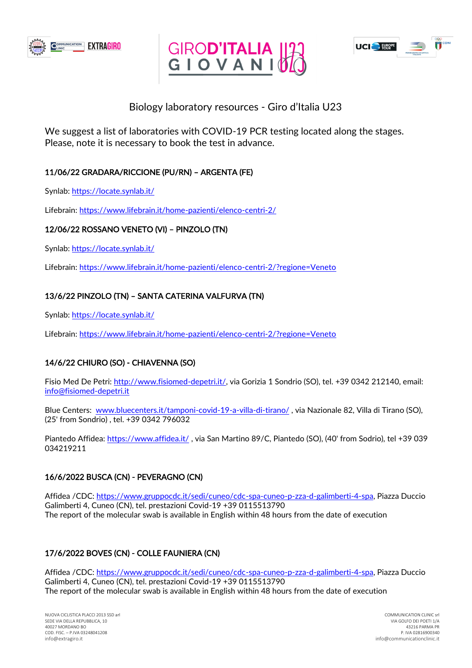





# Biology laboratory resources - Giro d'Italia U23

We suggest a list of laboratories with COVID-19 PCR testing located along the stages. Please, note it is necessary to book the test in advance.

### 11/06/22 GRADARA/RICCIONE (PU/RN) – ARGENTA (FE)

Synlab:<https://locate.synlab.it/>

Lifebrain:<https://www.lifebrain.it/home-pazienti/elenco-centri-2/>

#### 12/06/22 ROSSANO VENETO (VI) – PINZOLO (TN)

Synlab:<https://locate.synlab.it/>

Lifebrain:<https://www.lifebrain.it/home-pazienti/elenco-centri-2/?regione=Veneto>

### 13/6/22 PINZOLO (TN) – SANTA CATERINA VALFURVA (TN)

Synlab:<https://locate.synlab.it/>

Lifebrain:<https://www.lifebrain.it/home-pazienti/elenco-centri-2/?regione=Veneto>

# 14/6/22 CHIURO (SO) - CHIAVENNA (SO)

Fisio Med De Petri: [http://www.fisiomed-depetri.it/,](http://www.fisiomed-depetri.it/) via Gorizia 1 Sondrio (SO), tel. +39 0342 212140, email: [info@fisiomed-depetri.it](mailto:info@fisiomed-depetri.it)

Blue Centers: [www.bluecenters.it/tamponi-covid-19-a-villa-di-tirano/](http://www.bluecenters.it/tamponi-covid-19-a-villa-di-tirano/) , via Nazionale 82, Villa di Tirano (SO), (25' from Sondrio) , tel. +39 0342 796032

Piantedo Affidea:<https://www.affidea.it/> , via San Martino 89/C, Piantedo (SO), (40' from Sodrio), tel +39 039 034219211

#### 16/6/2022 BUSCA (CN) - PEVERAGNO (CN)

Affidea /CDC: [https://www.gruppocdc.it/sedi/cuneo/cdc-spa-cuneo-p-zza-d-galimberti-4-spa,](https://www.gruppocdc.it/sedi/cuneo/cdc-spa-cuneo-p-zza-d-galimberti-4-spa) Piazza Duccio Galimberti 4, Cuneo (CN), tel. prestazioni Covid-19 +39 0115513790 The report of the molecular swab is available in English within 48 hours from the date of execution

# 17/6/2022 BOVES (CN) - COLLE FAUNIERA (CN)

Affidea /CDC: [https://www.gruppocdc.it/sedi/cuneo/cdc-spa-cuneo-p-zza-d-galimberti-4-spa,](https://www.gruppocdc.it/sedi/cuneo/cdc-spa-cuneo-p-zza-d-galimberti-4-spa) Piazza Duccio Galimberti 4, Cuneo (CN), tel. prestazioni Covid-19 +39 0115513790 The report of the molecular swab is available in English within 48 hours from the date of execution